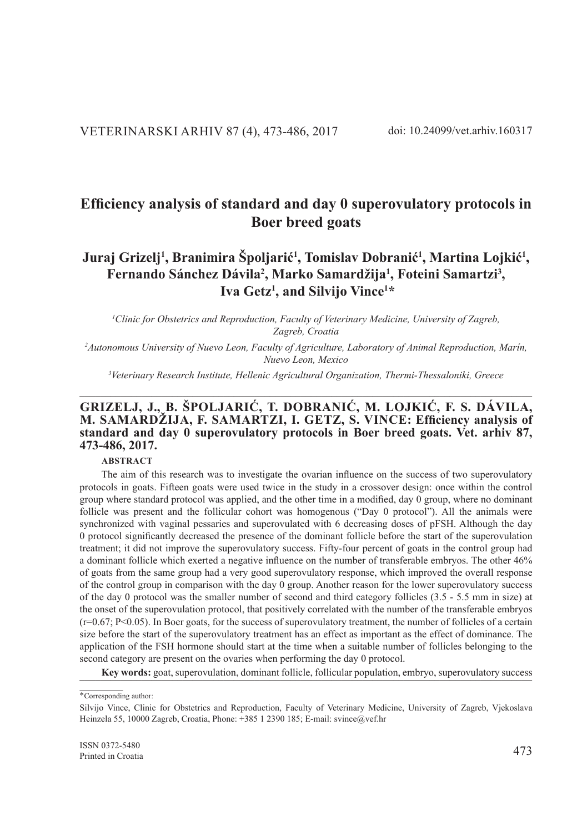# $J$ uraj Grizelj<sup>1</sup>, Branimira Špoljarić<sup>1</sup>, Tomislav Dobranić<sup>1</sup>, Martina Lojkić<sup>1</sup>, **Fernando Sánchez Dávila<sup>2</sup> , Marko Samardžija<sup>1</sup> , Foteini Samartzi<sup>3</sup> , Iva Getz<sup>1</sup> , and Silvijo Vince<sup>1</sup> \***

*1 Clinic for Obstetrics and Reproduction, Faculty of Veterinary Medicine, University of Zagreb, Zagreb, Croatia*

*2 Autonomous University of Nuevo Leon, Faculty of Agriculture, Laboratory of Animal Reproduction, Marín, Nuevo Leon, Mexico*

*3 Veterinary Research Institute, Hellenic Agricultural Organization, Thermi-Thessaloniki, Greece* **\_\_\_\_\_\_\_\_\_\_\_\_\_\_\_\_\_\_\_\_\_\_\_\_\_\_\_\_\_\_\_\_\_\_\_\_\_\_\_\_\_\_\_\_\_\_\_\_\_\_\_\_\_\_\_\_\_\_\_\_\_\_\_\_\_\_\_\_\_\_\_\_\_\_\_\_\_\_\_\_\_\_\_\_\_\_\_\_**

# **GRIZELJ, J., B. ŠPOLJARIĆ, T. DOBRANIĆ, M. LOJKIĆ, F. S. DÁVILA, M. SAMARDŽIJA, F. SAMARTZI, I. GETZ, S. VINCE: Efficiency analysis of standard and day 0 superovulatory protocols in Boer breed goats. Vet. arhiv 87, 473-486, 2017.**

#### **ABSTRACT**

The aim of this research was to investigate the ovarian influence on the success of two superovulatory protocols in goats. Fifteen goats were used twice in the study in a crossover design: once within the control group where standard protocol was applied, and the other time in a modified, day 0 group, where no dominant follicle was present and the follicular cohort was homogenous ("Day 0 protocol"). All the animals were synchronized with vaginal pessaries and superovulated with 6 decreasing doses of pFSH. Although the day 0 protocol significantly decreased the presence of the dominant follicle before the start of the superovulation treatment; it did not improve the superovulatory success. Fifty-four percent of goats in the control group had a dominant follicle which exerted a negative influence on the number of transferable embryos. The other 46% of goats from the same group had a very good superovulatory response, which improved the overall response of the control group in comparison with the day 0 group. Another reason for the lower superovulatory success of the day 0 protocol was the smaller number of second and third category follicles (3.5 - 5.5 mm in size) at the onset of the superovulation protocol, that positively correlated with the number of the transferable embryos  $(r=0.67; P<0.05)$ . In Boer goats, for the success of superovulatory treatment, the number of follicles of a certain size before the start of the superovulatory treatment has an effect as important as the effect of dominance. The application of the FSH hormone should start at the time when a suitable number of follicles belonging to the second category are present on the ovaries when performing the day 0 protocol.

**Key words:** goat, superovulation, dominant follicle, follicular population, embryo, superovulatory success **Key** 

<sup>\*</sup>Corresponding author:

Silvijo Vince, Clinic for Obstetrics and Reproduction, Faculty of Veterinary Medicine, University of Zagreb, Vjekoslava Heinzela 55, 10000 Zagreb, Croatia, Phone: +385 1 2390 185; E-mail: svince@vef.hr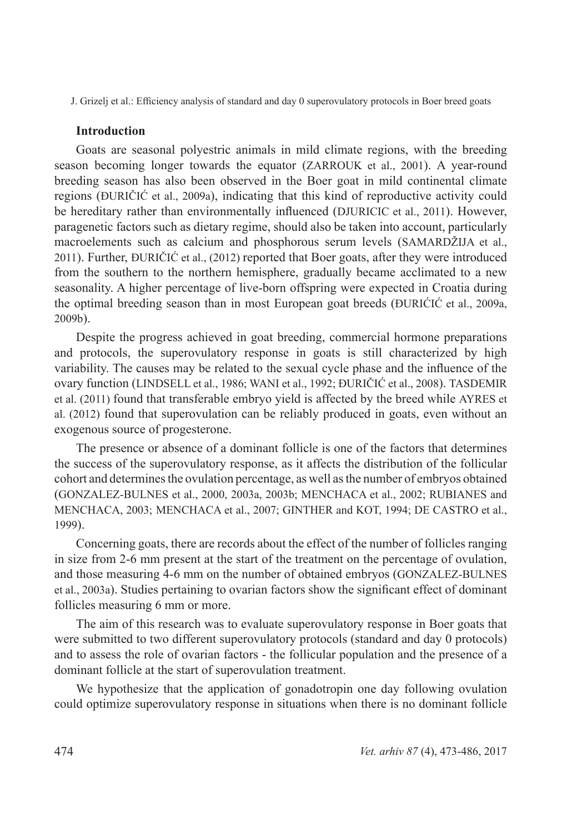### **Introduction**

Goats are seasonal polyestric animals in mild climate regions, with the breeding season becoming longer towards the equator (ZARROUK et al., 2001). A year-round breeding season has also been observed in the Boer goat in mild continental climate regions (ĐURIČIĆ et al., 2009a), indicating that this kind of reproductive activity could be hereditary rather than environmentally influenced (DJURICIC et al., 2011). However, paragenetic factors such as dietary regime, should also be taken into account, particularly macroelements such as calcium and phosphorous serum levels (SAMARDŽIJA et al., 2011). Further, ĐURIČIĆ et al., (2012) reported that Boer goats, after they were introduced from the southern to the northern hemisphere, gradually became acclimated to a new seasonality. A higher percentage of live-born offspring were expected in Croatia during the optimal breeding season than in most European goat breeds (ĐURIĆIĆ et al., 2009a, 2009b).

Despite the progress achieved in goat breeding, commercial hormone preparations and protocols, the superovulatory response in goats is still characterized by high variability. The causes may be related to the sexual cycle phase and the influence of the ovary function (LINDSELL et al., 1986; WANI et al., 1992; ĐURIČIĆ et al., 2008). TASDEMIR et al. (2011) found that transferable embryo yield is affected by the breed while AYRES et al. (2012) found that superovulation can be reliably produced in goats, even without an exogenous source of progesterone.

The presence or absence of a dominant follicle is one of the factors that determines the success of the superovulatory response, as it affects the distribution of the follicular cohort and determines the ovulation percentage, as well as the number of embryos obtained (GONZALEZ-BULNES et al., 2000, 2003a, 2003b; MENCHACA et al., 2002; RUBIANES and MENCHACA, 2003; MENCHACA et al., 2007; GINTHER and KOT, 1994; DE CASTRO et al., 1999).

Concerning goats, there are records about the effect of the number of follicles ranging in size from 2-6 mm present at the start of the treatment on the percentage of ovulation, and those measuring 4-6 mm on the number of obtained embryos (GONZALEZ-BULNES et al., 2003a). Studies pertaining to ovarian factors show the significant effect of dominant follicles measuring 6 mm or more.

The aim of this research was to evaluate superovulatory response in Boer goats that were submitted to two different superovulatory protocols (standard and day 0 protocols) and to assess the role of ovarian factors - the follicular population and the presence of a dominant follicle at the start of superovulation treatment.

We hypothesize that the application of gonadotropin one day following ovulation could optimize superovulatory response in situations when there is no dominant follicle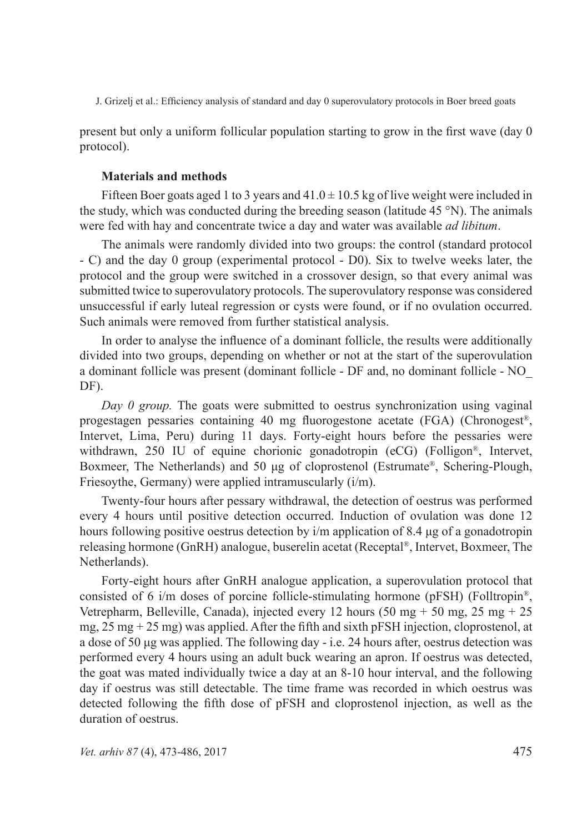present but only a uniform follicular population starting to grow in the first wave (day 0 protocol).

## **Materials and methods**

Fifteen Boer goats aged 1 to 3 years and  $41.0 \pm 10.5$  kg of live weight were included in the study, which was conducted during the breeding season (latitude 45 °N). The animals were fed with hay and concentrate twice a day and water was available *ad libitum*.

The animals were randomly divided into two groups: the control (standard protocol - C) and the day 0 group (experimental protocol - D0). Six to twelve weeks later, the protocol and the group were switched in a crossover design, so that every animal was submitted twice to superovulatory protocols. The superovulatory response was considered unsuccessful if early luteal regression or cysts were found, or if no ovulation occurred. Such animals were removed from further statistical analysis.

In order to analyse the influence of a dominant follicle, the results were additionally divided into two groups, depending on whether or not at the start of the superovulation a dominant follicle was present (dominant follicle - DF and, no dominant follicle - NO\_ DF).

*Day 0 group.* The goats were submitted to oestrus synchronization using vaginal progestagen pessaries containing 40 mg fluorogestone acetate (FGA) (Chronogest®, Intervet, Lima, Peru) during 11 days. Forty-eight hours before the pessaries were withdrawn, 250 IU of equine chorionic gonadotropin (eCG) (Folligon<sup>®</sup>, Intervet, Boxmeer, The Netherlands) and 50 μg of cloprostenol (Estrumate®, Schering-Plough, Friesoythe, Germany) were applied intramuscularly (i/m).

Twenty-four hours after pessary withdrawal, the detection of oestrus was performed every 4 hours until positive detection occurred. Induction of ovulation was done 12 hours following positive oestrus detection by i/m application of 8.4 μg of a gonadotropin releasing hormone (GnRH) analogue, buserelin acetat (Receptal®, Intervet, Boxmeer, The Netherlands).

Forty-eight hours after GnRH analogue application, a superovulation protocol that consisted of 6 i/m doses of porcine follicle-stimulating hormone (pFSH) (Folltropin<sup>®</sup>, Vetrepharm, Belleville, Canada), injected every 12 hours (50 mg + 50 mg, 25 mg + 25 mg,  $25 \text{ mg} + 25 \text{ mg}$ ) was applied. After the fifth and sixth pFSH injection, cloprostenol, at a dose of 50 μg was applied. The following day - i.e. 24 hours after, oestrus detection was performed every 4 hours using an adult buck wearing an apron. If oestrus was detected, the goat was mated individually twice a day at an 8-10 hour interval, and the following day if oestrus was still detectable. The time frame was recorded in which oestrus was detected following the fifth dose of pFSH and cloprostenol injection, as well as the duration of oestrus.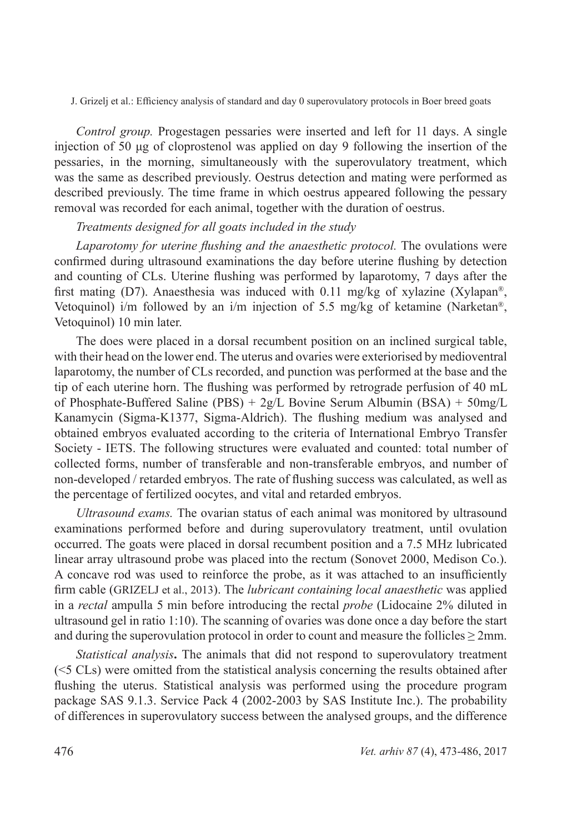*Control group.* Progestagen pessaries were inserted and left for 11 days. A single injection of 50 μg of cloprostenol was applied on day 9 following the insertion of the pessaries, in the morning, simultaneously with the superovulatory treatment, which was the same as described previously. Oestrus detection and mating were performed as described previously. The time frame in which oestrus appeared following the pessary removal was recorded for each animal, together with the duration of oestrus.

# *Treatments designed for all goats included in the study*

*Laparotomy for uterine flushing and the anaesthetic protocol.* The ovulations were confirmed during ultrasound examinations the day before uterine flushing by detection and counting of CLs. Uterine flushing was performed by laparotomy, 7 days after the first mating (D7). Anaesthesia was induced with 0.11 mg/kg of xylazine (Xylapan®, Vetoquinol) i/m followed by an i/m injection of 5.5 mg/kg of ketamine (Narketan<sup>®</sup>, Vetoquinol) 10 min later.

The does were placed in a dorsal recumbent position on an inclined surgical table, with their head on the lower end. The uterus and ovaries were exteriorised by medioventral laparotomy, the number of CLs recorded, and punction was performed at the base and the tip of each uterine horn. The flushing was performed by retrograde perfusion of 40 mL of Phosphate-Buffered Saline (PBS) + 2g/L Bovine Serum Albumin (BSA) + 50mg/L Kanamycin (Sigma-K1377, Sigma-Aldrich). The flushing medium was analysed and obtained embryos evaluated according to the criteria of International Embryo Transfer Society - IETS. The following structures were evaluated and counted: total number of collected forms, number of transferable and non-transferable embryos, and number of non-developed / retarded embryos. The rate of flushing success was calculated, as well as the percentage of fertilized oocytes, and vital and retarded embryos.

*Ultrasound exams.* The ovarian status of each animal was monitored by ultrasound examinations performed before and during superovulatory treatment, until ovulation occurred. The goats were placed in dorsal recumbent position and a 7.5 MHz lubricated linear array ultrasound probe was placed into the rectum (Sonovet 2000, Medison Co.). A concave rod was used to reinforce the probe, as it was attached to an insufficiently firm cable (GRIZELJ et al., 2013). The *lubricant containing local anaesthetic* was applied in a *rectal* ampulla 5 min before introducing the rectal *probe* (Lidocaine 2% diluted in ultrasound gel in ratio 1:10). The scanning of ovaries was done once a day before the start and during the superovulation protocol in order to count and measure the follicles  $\geq$  2mm.

*Statistical analysis***.** The animals that did not respond to superovulatory treatment (<5 CLs) were omitted from the statistical analysis concerning the results obtained after flushing the uterus. Statistical analysis was performed using the procedure program package SAS 9.1.3. Service Pack 4 (2002-2003 by SAS Institute Inc.). The probability of differences in superovulatory success between the analysed groups, and the difference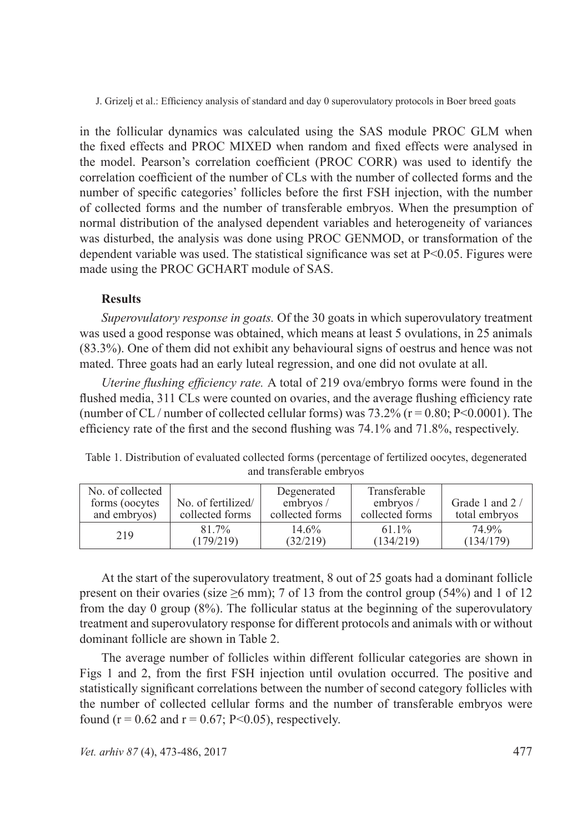in the follicular dynamics was calculated using the SAS module PROC GLM when the fixed effects and PROC MIXED when random and fixed effects were analysed in the model. Pearson's correlation coefficient (PROC CORR) was used to identify the correlation coefficient of the number of CLs with the number of collected forms and the number of specific categories' follicles before the first FSH injection, with the number of collected forms and the number of transferable embryos. When the presumption of normal distribution of the analysed dependent variables and heterogeneity of variances was disturbed, the analysis was done using PROC GENMOD, or transformation of the dependent variable was used. The statistical significance was set at  $P<0.05$ . Figures were made using the PROC GCHART module of SAS.

# **Results**

*Superovulatory response in goats.* Of the 30 goats in which superovulatory treatment was used a good response was obtained, which means at least 5 ovulations, in 25 animals (83.3%). One of them did not exhibit any behavioural signs of oestrus and hence was not mated. Three goats had an early luteal regression, and one did not ovulate at all.

*Uterine flushing efficiency rate.* A total of 219 ova/embryo forms were found in the flushed media, 311 CLs were counted on ovaries, and the average flushing efficiency rate (number of CL / number of collected cellular forms) was  $73.2\%$  (r = 0.80; P<0.0001). The efficiency rate of the first and the second flushing was 74.1% and 71.8%, respectively.

| No. of collected<br>forms (oocytes)<br>and embryos) | No. of fertilized/<br>collected forms | Degenerated<br>embryos $/$<br>collected forms | Transferable<br>embryos $\sqrt{ }$<br>collected forms | Grade 1 and 2/<br>total embryos |
|-----------------------------------------------------|---------------------------------------|-----------------------------------------------|-------------------------------------------------------|---------------------------------|
| 219                                                 | $81.7\%$                              | 14.6%                                         | $61.1\%$                                              | 74 9 <sub>%</sub>               |
|                                                     | (179/219)                             | (32/219)                                      | (134/219)                                             | (134/179)                       |

Table 1. Distribution of evaluated collected forms (percentage of fertilized oocytes, degenerated and transferable embryos

At the start of the superovulatory treatment, 8 out of 25 goats had a dominant follicle present on their ovaries (size  $\geq 6$  mm); 7 of 13 from the control group (54%) and 1 of 12 from the day 0 group (8%). The follicular status at the beginning of the superovulatory treatment and superovulatory response for different protocols and animals with or without dominant follicle are shown in Table 2.

The average number of follicles within different follicular categories are shown in Figs 1 and 2, from the first FSH injection until ovulation occurred. The positive and statistically significant correlations between the number of second category follicles with the number of collected cellular forms and the number of transferable embryos were found ( $r = 0.62$  and  $r = 0.67$ ; P<0.05), respectively.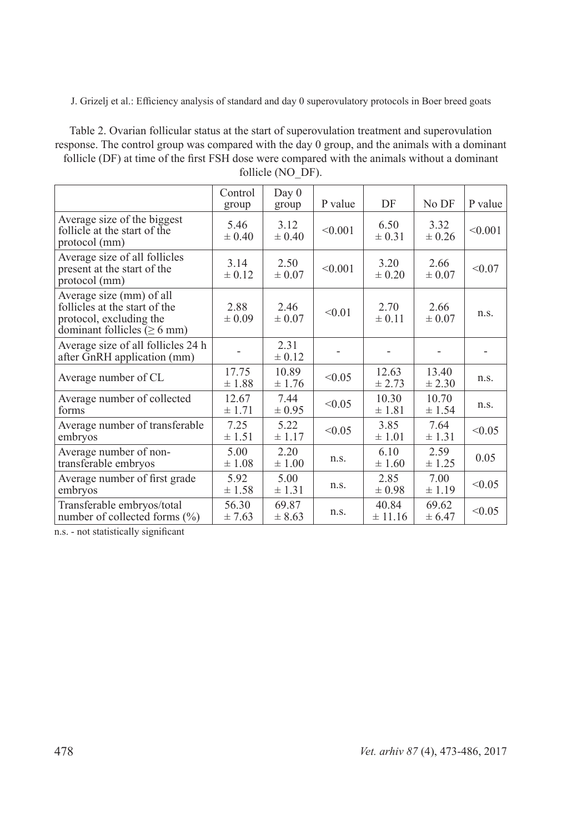Table 2. Ovarian follicular status at the start of superovulation treatment and superovulation response. The control group was compared with the day 0 group, and the animals with a dominant follicle (DF) at time of the first FSH dose were compared with the animals without a dominant follicle (NO DF).

|                                                                                                                           | Control<br>group   | Day 0<br>group      | P value | DF                 | No DF               | P value |
|---------------------------------------------------------------------------------------------------------------------------|--------------------|---------------------|---------|--------------------|---------------------|---------|
| Average size of the biggest<br>follicle at the start of the<br>protocol (mm)                                              | 5.46<br>$\pm 0.40$ | 3.12<br>$\pm 0.40$  | < 0.001 | 6.50<br>$\pm 0.31$ | 3.32<br>± 0.26      | < 0.001 |
| Average size of all follicles<br>present at the start of the<br>protocol (mm)                                             | 3.14<br>$\pm 0.12$ | 2.50<br>$\pm 0.07$  | < 0.001 | 3.20<br>$\pm 0.20$ | 2.66<br>$\pm 0.07$  | < 0.07  |
| Average size (mm) of all<br>follicles at the start of the<br>protocol, excluding the<br>dominant follicles ( $\geq 6$ mm) | 2.88<br>$\pm 0.09$ | 2.46<br>$\pm 0.07$  | < 0.01  | 2.70<br>$\pm 0.11$ | 2.66<br>$\pm 0.07$  | n.s.    |
| Average size of all follicles 24 h<br>after GnRH application (mm)                                                         |                    | 2.31<br>$\pm 0.12$  |         |                    |                     |         |
| Average number of CL                                                                                                      | 17.75<br>±1.88     | 10.89<br>± 1.76     | < 0.05  | 12.63<br>± 2.73    | 13.40<br>$\pm 2.30$ | n.s.    |
| Average number of collected<br>forms                                                                                      | 12.67<br>± 1.71    | 7.44<br>$\pm 0.95$  | < 0.05  | 10.30<br>±1.81     | 10.70<br>± 1.54     | n.s.    |
| Average number of transferable<br>embryos                                                                                 | 7.25<br>± 1.51     | 5.22<br>± 1.17      | < 0.05  | 3.85<br>$\pm 1.01$ | 7.64<br>± 1.31      | < 0.05  |
| Average number of non-<br>transferable embryos                                                                            | 5.00<br>$\pm 1.08$ | 2.20<br>$\pm 1.00$  | n.s.    | 6.10<br>± 1.60     | 2.59<br>± 1.25      | 0.05    |
| Average number of first grade<br>embryos                                                                                  | 5.92<br>± 1.58     | 5.00<br>± 1.31      | n.S.    | 2.85<br>$\pm 0.98$ | 7.00<br>± 1.19      | < 0.05  |
| Transferable embryos/total<br>number of collected forms (%)                                                               | 56.30<br>± 7.63    | 69.87<br>$\pm 8.63$ | n.S.    | 40.84<br>± 11.16   | 69.62<br>± 6.47     | < 0.05  |

n.s. - not statistically significant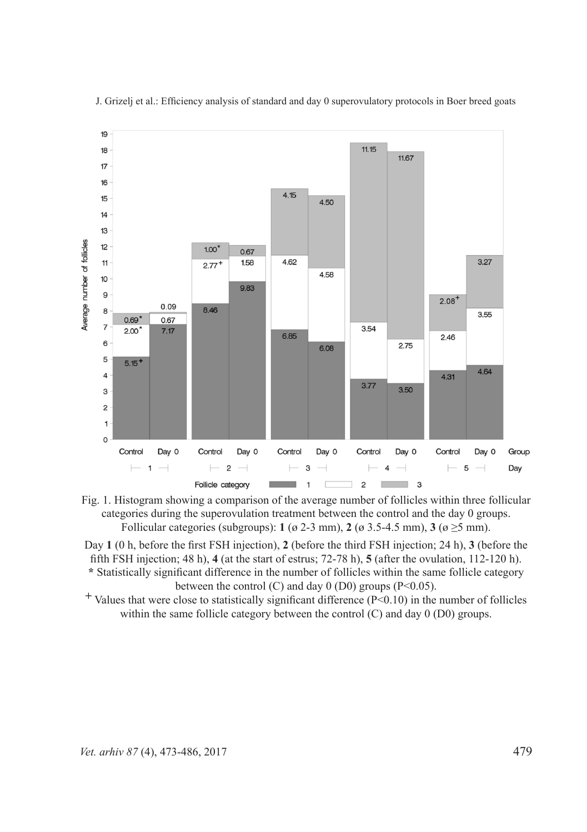



Day **1** (0 h, before the first FSH injection), **2** (before the third FSH injection; 24 h), **3** (before the fifth FSH injection; 48 h), **4** (at the start of estrus; 72-78 h), **5** (after the ovulation, 112-120 h). **\*** Statistically significant difference in the number of follicles within the same follicle category between the control (C) and day  $0$  (D0) groups (P<0.05).

**+** Values that were close to statistically significant difference (P<0.10) in the number of follicles within the same follicle category between the control (C) and day 0 (D0) groups.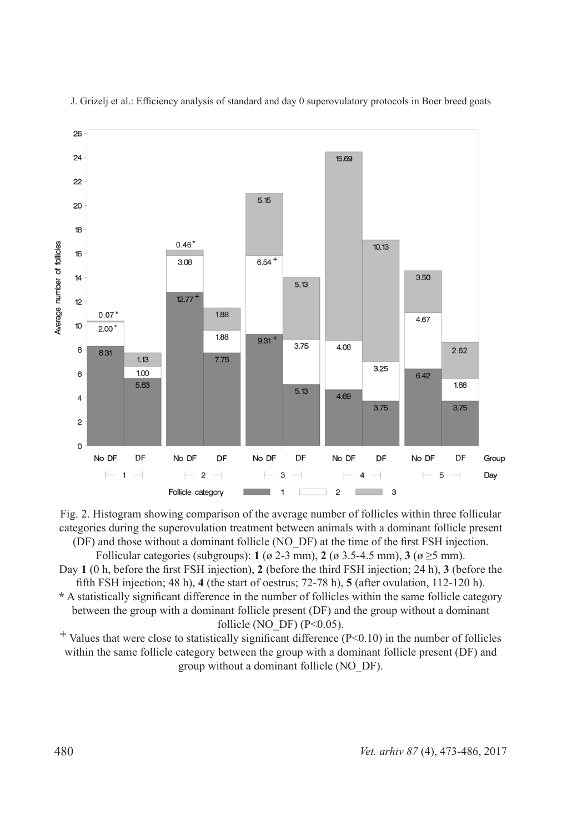

Fig. 2. Histogram showing comparison of the average number of follicles within three follicular categories during the superovulation treatment between animals with a dominant follicle present (DF) and those without a dominant follicle (NO\_DF) at the time of the first FSH injection.

Follicular categories (subgroups): **1** ( $\alpha$  2-3 mm), **2** ( $\alpha$  3.5-4.5 mm), **3** ( $\alpha \ge 5$  mm).

Day **1** (0 h, before the first FSH injection), **2** (before the third FSH injection; 24 h), **3** (before the fifth FSH injection; 48 h), **4** (the start of oestrus; 72-78 h), **5** (after ovulation, 112-120 h).

**\*** A statistically significant difference in the number of follicles within the same follicle category between the group with a dominant follicle present (DF) and the group without a dominant follicle (NO DF)  $(P<0.05)$ .

**+** Values that were close to statistically significant difference (P<0.10) in the number of follicles within the same follicle category between the group with a dominant follicle present (DF) and group without a dominant follicle (NO\_DF).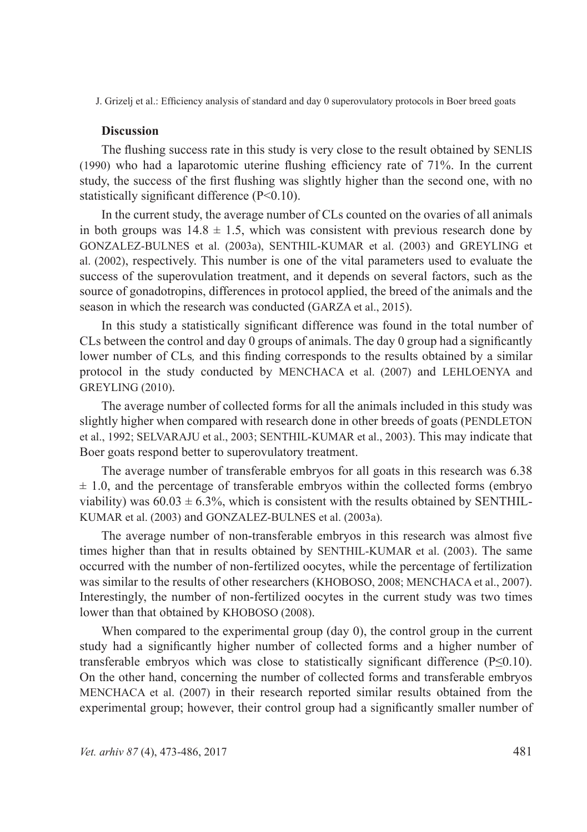## **Discussion**

The flushing success rate in this study is very close to the result obtained by SENLIS (1990) who had a laparotomic uterine flushing efficiency rate of 71%. In the current study, the success of the first flushing was slightly higher than the second one, with no statistically significant difference (P<0.10).

In the current study, the average number of CLs counted on the ovaries of all animals in both groups was  $14.8 \pm 1.5$ , which was consistent with previous research done by GONZALEZ-BULNES et al. (2003a), SENTHIL-KUMAR et al. (2003) and GREYLING et al. (2002), respectively. This number is one of the vital parameters used to evaluate the success of the superovulation treatment, and it depends on several factors, such as the source of gonadotropins, differences in protocol applied, the breed of the animals and the season in which the research was conducted (GARZA et al., 2015).

In this study a statistically significant difference was found in the total number of CLs between the control and day 0 groups of animals. The day 0 group had a significantly lower number of CLs*,* and this finding corresponds to the results obtained by a similar protocol in the study conducted by MENCHACA et al. (2007) and LEHLOENYA and GREYLING (2010).

The average number of collected forms for all the animals included in this study was slightly higher when compared with research done in other breeds of goats (PENDLETON et al., 1992; SELVARAJU et al., 2003; SENTHIL-KUMAR et al., 2003). This may indicate that Boer goats respond better to superovulatory treatment.

The average number of transferable embryos for all goats in this research was 6.38  $\pm$  1.0, and the percentage of transferable embryos within the collected forms (embryo viability) was  $60.03 \pm 6.3\%$ , which is consistent with the results obtained by SENTHIL-KUMAR et al. (2003) and GONZALEZ-BULNES et al. (2003a).

The average number of non-transferable embryos in this research was almost five times higher than that in results obtained by SENTHIL-KUMAR et al. (2003). The same occurred with the number of non-fertilized oocytes, while the percentage of fertilization was similar to the results of other researchers (KHOBOSO, 2008; MENCHACA et al., 2007). Interestingly, the number of non-fertilized oocytes in the current study was two times lower than that obtained by KHOBOSO (2008).

When compared to the experimental group (day 0), the control group in the current study had a significantly higher number of collected forms and a higher number of transferable embryos which was close to statistically significant difference (P≤0.10). On the other hand, concerning the number of collected forms and transferable embryos MENCHACA et al. (2007) in their research reported similar results obtained from the experimental group; however, their control group had a significantly smaller number of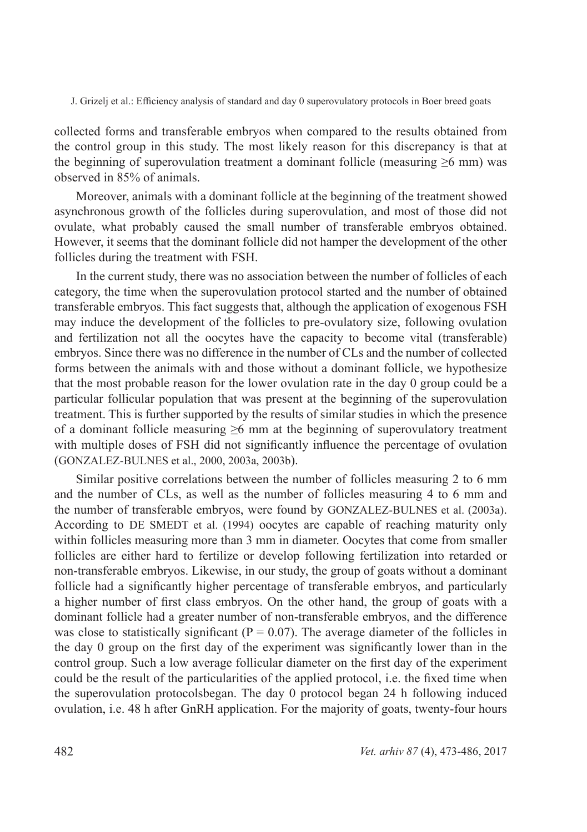collected forms and transferable embryos when compared to the results obtained from the control group in this study. The most likely reason for this discrepancy is that at the beginning of superovulation treatment a dominant follicle (measuring  $\geq 6$  mm) was observed in 85% of animals.

Moreover, animals with a dominant follicle at the beginning of the treatment showed asynchronous growth of the follicles during superovulation, and most of those did not ovulate, what probably caused the small number of transferable embryos obtained. However, it seems that the dominant follicle did not hamper the development of the other follicles during the treatment with FSH.

In the current study, there was no association between the number of follicles of each category, the time when the superovulation protocol started and the number of obtained transferable embryos. This fact suggests that, although the application of exogenous FSH may induce the development of the follicles to pre-ovulatory size, following ovulation and fertilization not all the oocytes have the capacity to become vital (transferable) embryos. Since there was no difference in the number of CLs and the number of collected forms between the animals with and those without a dominant follicle, we hypothesize that the most probable reason for the lower ovulation rate in the day 0 group could be a particular follicular population that was present at the beginning of the superovulation treatment. This is further supported by the results of similar studies in which the presence of a dominant follicle measuring  $\geq 6$  mm at the beginning of superovulatory treatment with multiple doses of FSH did not significantly influence the percentage of ovulation (GONZALEZ-BULNES et al., 2000, 2003a, 2003b).

Similar positive correlations between the number of follicles measuring 2 to 6 mm and the number of CLs, as well as the number of follicles measuring 4 to 6 mm and the number of transferable embryos, were found by GONZALEZ-BULNES et al. (2003a). According to DE SMEDT et al. (1994) oocytes are capable of reaching maturity only within follicles measuring more than 3 mm in diameter. Oocytes that come from smaller follicles are either hard to fertilize or develop following fertilization into retarded or non-transferable embryos. Likewise, in our study, the group of goats without a dominant follicle had a significantly higher percentage of transferable embryos, and particularly a higher number of first class embryos. On the other hand, the group of goats with a dominant follicle had a greater number of non-transferable embryos, and the difference was close to statistically significant ( $P = 0.07$ ). The average diameter of the follicles in the day 0 group on the first day of the experiment was significantly lower than in the control group. Such a low average follicular diameter on the first day of the experiment could be the result of the particularities of the applied protocol, i.e. the fixed time when the superovulation protocolsbegan. The day 0 protocol began 24 h following induced ovulation, i.e. 48 h after GnRH application. For the majority of goats, twenty-four hours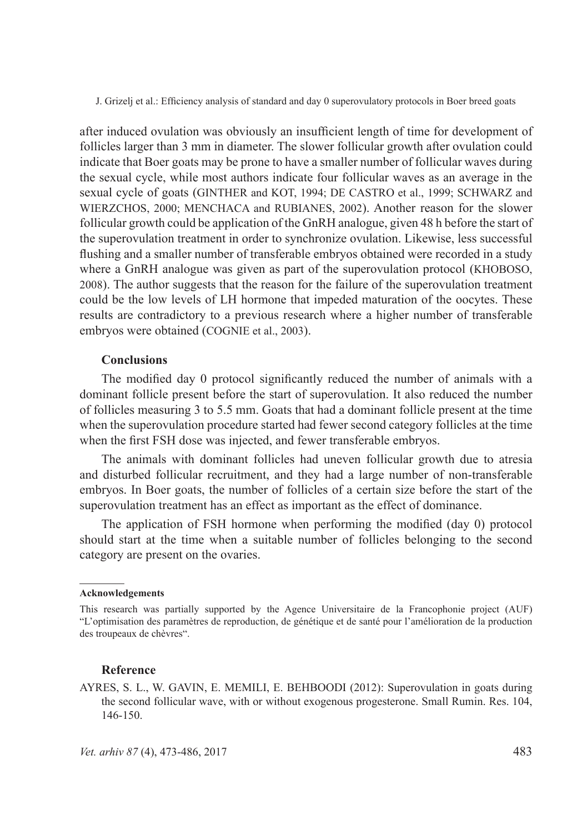after induced ovulation was obviously an insufficient length of time for development of follicles larger than 3 mm in diameter. The slower follicular growth after ovulation could indicate that Boer goats may be prone to have a smaller number of follicular waves during the sexual cycle, while most authors indicate four follicular waves as an average in the sexual cycle of goats (GINTHER and KOT, 1994; DE CASTRO et al., 1999; SCHWARZ and WIERZCHOS, 2000; MENCHACA and RUBIANES, 2002). Another reason for the slower follicular growth could be application of the GnRH analogue, given 48 h before the start of the superovulation treatment in order to synchronize ovulation. Likewise, less successful flushing and a smaller number of transferable embryos obtained were recorded in a study where a GnRH analogue was given as part of the superovulation protocol (KHOBOSO, 2008). The author suggests that the reason for the failure of the superovulation treatment could be the low levels of LH hormone that impeded maturation of the oocytes. These results are contradictory to a previous research where a higher number of transferable embryos were obtained (COGNIE et al., 2003).

## **Conclusions**

The modified day 0 protocol significantly reduced the number of animals with a dominant follicle present before the start of superovulation. It also reduced the number of follicles measuring 3 to 5.5 mm. Goats that had a dominant follicle present at the time when the superovulation procedure started had fewer second category follicles at the time when the first FSH dose was injected, and fewer transferable embryos.

The animals with dominant follicles had uneven follicular growth due to atresia and disturbed follicular recruitment, and they had a large number of non-transferable embryos. In Boer goats, the number of follicles of a certain size before the start of the superovulation treatment has an effect as important as the effect of dominance.

The application of FSH hormone when performing the modified (day 0) protocol should start at the time when a suitable number of follicles belonging to the second category are present on the ovaries.

#### **Acknowledgements**

 $\mathcal{L}=\mathcal{L}$ 

#### **Reference**

AYRES, S. L., W. GAVIN, E. MEMILI, E. BEHBOODI (2012): Superovulation in goats during the second follicular wave, with or without exogenous progesterone. Small Rumin. Res. 104, 146-150.

This research was partially supported by the Agence Universitaire de la Francophonie project (AUF) "L'optimisation des paramètres de reproduction, de génétique et de santé pour l'amélioration de la production des troupeaux de chèvres".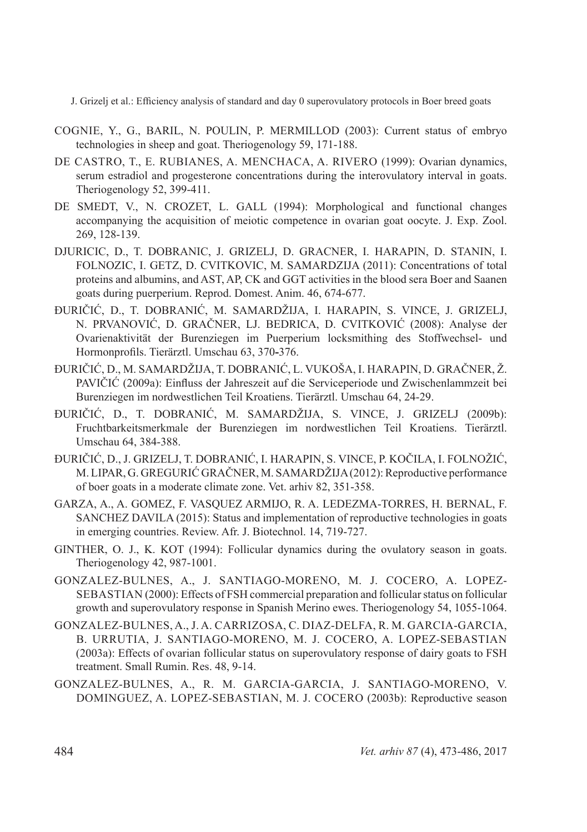- COGNIE, Y., G., BARIL, N. POULIN, P. MERMILLOD (2003): Current status of embryo technologies in sheep and goat. Theriogenology 59, 171-188.
- DE CASTRO, T., E. RUBIANES, A. MENCHACA, A. RIVERO (1999): Ovarian dynamics, serum estradiol and progesterone concentrations during the interovulatory interval in goats. Theriogenology 52, 399-411.
- DE SMEDT, V., N. CROZET, L. GALL (1994): Morphological and functional changes accompanying the acquisition of meiotic competence in ovarian goat oocyte. J. Exp. Zool. 269, 128-139.
- DJURICIC, D., T. DOBRANIC, J. GRIZELJ, D. GRACNER, I. HARAPIN, D. STANIN, I. FOLNOZIC, I. GETZ, D. CVITKOVIC, M. SAMARDZIJA (2011): Concentrations of total proteins and albumins, and AST, AP, CK and GGT activities in the blood sera Boer and Saanen goats during puerperium. Reprod. Domest. Anim. 46, 674-677.
- ĐURIČIĆ, D., T. DOBRANIĆ, M. SAMARDŽIJA, I. HARAPIN, S. VINCE, J. GRIZELJ, N. PRVANOVIĆ, D. GRAČNER, LJ. BEDRICA, D. CVITKOVIĆ (2008): Analyse der Ovarienaktivität der Burenziegen im Puerperium locksmithing des Stoffwechsel- und Hormonprofils. Tierärztl. Umschau 63, 370**-**376.
- ĐURIČIĆ, D., M. SAMARDŽIJA, T. DOBRANIĆ, L. VUKOŠA, I. HARAPIN, D. GRAČNER, Ž. PAVIČIĆ (2009a): Einfluss der Jahreszeit auf die Serviceperiode und Zwischenlammzeit bei Burenziegen im nordwestlichen Teil Kroatiens. Tierärztl. Umschau 64, 24-29.
- ĐURIČIĆ, D., T. DOBRANIĆ, M. SAMARDŽIJA, S. VINCE, J. GRIZELJ (2009b): Fruchtbarkeitsmerkmale der Burenziegen im nordwestlichen Teil Kroatiens. Tierärztl. Umschau 64, 384-388.
- ĐURIČIĆ, D., J. GRIZELJ, T. DOBRANIĆ, I. HARAPIN, S. VINCE, P. KOČILA, I. FOLNOŽIĆ, M. LIPAR, G. GREGURIĆ GRAČNER, M. SAMARDŽIJA (2012): Reproductive performance of boer goats in a moderate climate zone. Vet. arhiv 82, 351-358.
- GARZA, A., A. GOMEZ, F. VASQUEZ ARMIJO, R. A. LEDEZMA-TORRES, H. BERNAL, F. SANCHEZ DAVILA (2015): Status and implementation of reproductive technologies in goats in emerging countries. Review. Afr. J. Biotechnol. 14, 719-727.
- GINTHER, O. J., K. KOT (1994): Follicular dynamics during the ovulatory season in goats. Theriogenology 42, 987-1001.
- GONZALEZ-BULNES, A., J. SANTIAGO-MORENO, M. J. COCERO, A. LOPEZ-SEBASTIAN (2000): Effects of FSH commercial preparation and follicular status on follicular growth and superovulatory response in Spanish Merino ewes. Theriogenology 54, 1055-1064.
- GONZALEZ-BULNES, A., J. A. CARRIZOSA, C. DIAZ-DELFA, R. M. GARCIA-GARCIA, B. URRUTIA, J. SANTIAGO-MORENO, M. J. COCERO, A. LOPEZ-SEBASTIAN (2003a): Effects of ovarian follicular status on superovulatory response of dairy goats to FSH treatment. Small Rumin. Res. 48, 9-14.
- GONZALEZ-BULNES, A., R. M. GARCIA-GARCIA, J. SANTIAGO-MORENO, V. DOMINGUEZ, A. LOPEZ-SEBASTIAN, M. J. COCERO (2003b): Reproductive season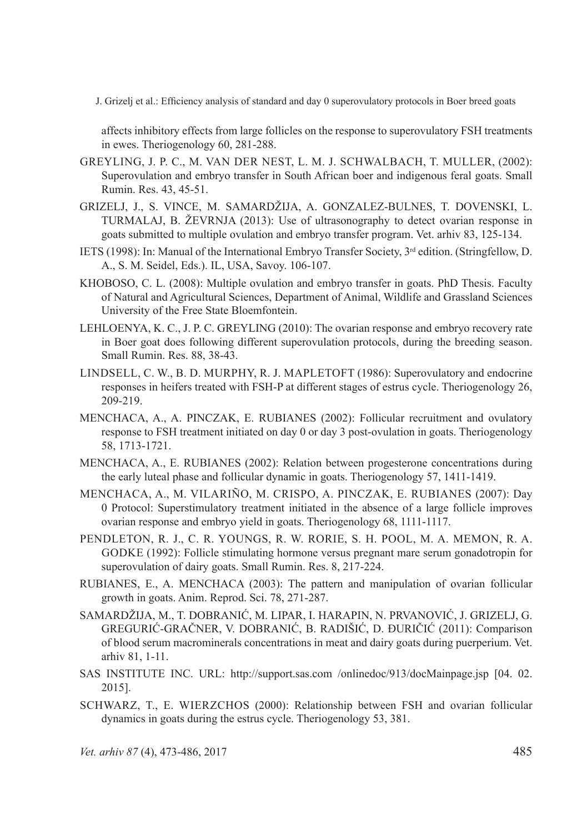affects inhibitory effects from large follicles on the response to superovulatory FSH treatments in ewes. Theriogenology 60, 281-288.

- GREYLING, J. P. C., M. VAN DER NEST, L. M. J. SCHWALBACH, T. MULLER, (2002): Superovulation and embryo transfer in South African boer and indigenous feral goats. Small Rumin. Res. 43, 45-51.
- GRIZELJ, J., S. VINCE, M. SAMARDŽIJA, A. GONZALEZ-BULNES, T. DOVENSKI, L. TURMALAJ, B. ŽEVRNJA (2013): Use of ultrasonography to detect ovarian response in goats submitted to multiple ovulation and embryo transfer program. Vet. arhiv 83, 125-134.
- IETS (1998): In: Manual of the International Embryo Transfer Society, 3rd edition. (Stringfellow, D. A., S. M. Seidel, Eds.). IL, USA, Savoy. 106-107.
- KHOBOSO, C. L. (2008): Multiple ovulation and embryo transfer in goats. PhD Thesis. Faculty of Natural and Agricultural Sciences, Department of Animal, Wildlife and Grassland Sciences University of the Free State Bloemfontein.
- LEHLOENYA, K. C., J. P. C. GREYLING (2010): The ovarian response and embryo recovery rate in Boer goat does following different superovulation protocols, during the breeding season. Small Rumin. Res. 88, 38-43.
- LINDSELL, C. W., B. D. MURPHY, R. J. MAPLETOFT (1986): Superovulatory and endocrine responses in heifers treated with FSH-P at different stages of estrus cycle. Theriogenology 26, 209-219.
- MENCHACA, A., A. PINCZAK, E. RUBIANES (2002): Follicular recruitment and ovulatory response to FSH treatment initiated on day 0 or day 3 post-ovulation in goats. Theriogenology 58, 1713-1721.
- MENCHACA, A., E. RUBIANES (2002): Relation between progesterone concentrations during the early luteal phase and follicular dynamic in goats. Theriogenology 57, 1411-1419.
- MENCHACA, A., M. VILARIÑO, M. CRISPO, A. PINCZAK, E. RUBIANES (2007): Day 0 Protocol: Superstimulatory treatment initiated in the absence of a large follicle improves ovarian response and embryo yield in goats. Theriogenology 68, 1111-1117.
- PENDLETON, R. J., C. R. YOUNGS, R. W. RORIE, S. H. POOL, M. A. MEMON, R. A. GODKE (1992): Follicle stimulating hormone versus pregnant mare serum gonadotropin for superovulation of dairy goats. Small Rumin. Res. 8, 217-224.
- RUBIANES, E., A. MENCHACA (2003): The pattern and manipulation of ovarian follicular growth in goats. Anim. Reprod. Sci. 78, 271-287.
- SAMARDŽIJA, M., T. DOBRANIĆ, M. LIPAR, I. HARAPIN, N. PRVANOVIĆ, J. GRIZELJ, G. GREGURIĆ-GRAČNER, V. DOBRANIĆ, B. RADIŠIĆ, D. ĐURIČIĆ (2011): Comparison of blood serum macrominerals concentrations in meat and dairy goats during puerperium. Vet. arhiv 81, 1-11.
- SAS INSTITUTE INC. URL: http://support.sas.com /onlinedoc/913/docMainpage.jsp [04. 02. 2015].
- SCHWARZ, T., E. WIERZCHOS (2000): Relationship between FSH and ovarian follicular dynamics in goats during the estrus cycle. Theriogenology 53, 381.

*Vet. arhiv 87* (4), 473-486, 2017 485